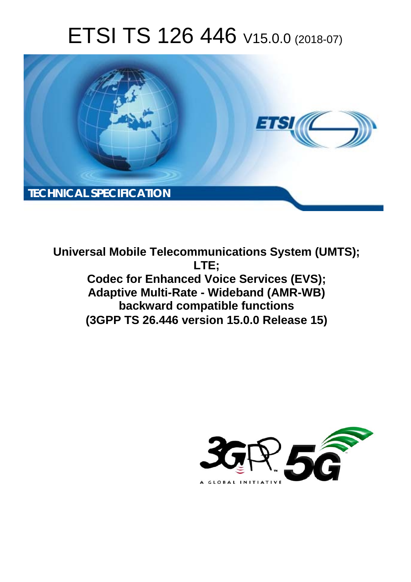# ETSI TS 126 446 V15.0.0 (2018-07)



**Universal Mobile Telecommunications System (UMTS); LTE; Codec for Enhanced Voice Services (EVS); Adaptive Multi-Rate - Wideband (AMR-WB) backward compatible functions (3GPP TS 26.446 version 15.0.0 Release 15)** 

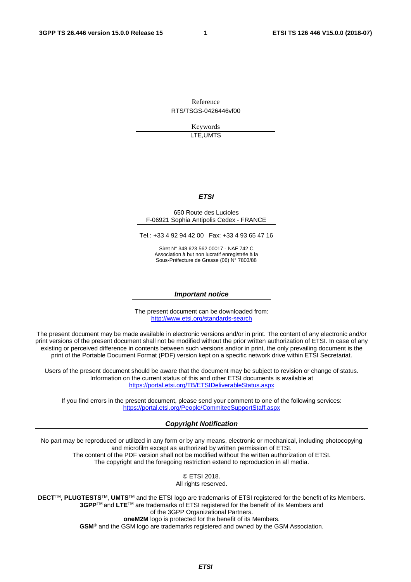Reference RTS/TSGS-0426446vf00

> Keywords LTE,UMTS

#### *ETSI*

#### 650 Route des Lucioles F-06921 Sophia Antipolis Cedex - FRANCE

Tel.: +33 4 92 94 42 00 Fax: +33 4 93 65 47 16

Siret N° 348 623 562 00017 - NAF 742 C Association à but non lucratif enregistrée à la Sous-Préfecture de Grasse (06) N° 7803/88

#### *Important notice*

The present document can be downloaded from: <http://www.etsi.org/standards-search>

The present document may be made available in electronic versions and/or in print. The content of any electronic and/or print versions of the present document shall not be modified without the prior written authorization of ETSI. In case of any existing or perceived difference in contents between such versions and/or in print, the only prevailing document is the print of the Portable Document Format (PDF) version kept on a specific network drive within ETSI Secretariat.

Users of the present document should be aware that the document may be subject to revision or change of status. Information on the current status of this and other ETSI documents is available at <https://portal.etsi.org/TB/ETSIDeliverableStatus.aspx>

If you find errors in the present document, please send your comment to one of the following services: <https://portal.etsi.org/People/CommiteeSupportStaff.aspx>

#### *Copyright Notification*

No part may be reproduced or utilized in any form or by any means, electronic or mechanical, including photocopying and microfilm except as authorized by written permission of ETSI. The content of the PDF version shall not be modified without the written authorization of ETSI. The copyright and the foregoing restriction extend to reproduction in all media.

> © ETSI 2018. All rights reserved.

**DECT**TM, **PLUGTESTS**TM, **UMTS**TM and the ETSI logo are trademarks of ETSI registered for the benefit of its Members. **3GPP**TM and **LTE**TM are trademarks of ETSI registered for the benefit of its Members and of the 3GPP Organizational Partners. **oneM2M** logo is protected for the benefit of its Members.

**GSM**® and the GSM logo are trademarks registered and owned by the GSM Association.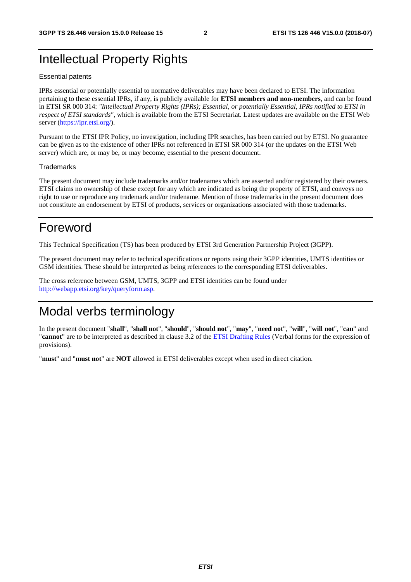#### Intellectual Property Rights

#### Essential patents

IPRs essential or potentially essential to normative deliverables may have been declared to ETSI. The information pertaining to these essential IPRs, if any, is publicly available for **ETSI members and non-members**, and can be found in ETSI SR 000 314: *"Intellectual Property Rights (IPRs); Essential, or potentially Essential, IPRs notified to ETSI in respect of ETSI standards"*, which is available from the ETSI Secretariat. Latest updates are available on the ETSI Web server ([https://ipr.etsi.org/\)](https://ipr.etsi.org/).

Pursuant to the ETSI IPR Policy, no investigation, including IPR searches, has been carried out by ETSI. No guarantee can be given as to the existence of other IPRs not referenced in ETSI SR 000 314 (or the updates on the ETSI Web server) which are, or may be, or may become, essential to the present document.

#### **Trademarks**

The present document may include trademarks and/or tradenames which are asserted and/or registered by their owners. ETSI claims no ownership of these except for any which are indicated as being the property of ETSI, and conveys no right to use or reproduce any trademark and/or tradename. Mention of those trademarks in the present document does not constitute an endorsement by ETSI of products, services or organizations associated with those trademarks.

#### Foreword

This Technical Specification (TS) has been produced by ETSI 3rd Generation Partnership Project (3GPP).

The present document may refer to technical specifications or reports using their 3GPP identities, UMTS identities or GSM identities. These should be interpreted as being references to the corresponding ETSI deliverables.

The cross reference between GSM, UMTS, 3GPP and ETSI identities can be found under [http://webapp.etsi.org/key/queryform.asp.](http://webapp.etsi.org/key/queryform.asp)

#### Modal verbs terminology

In the present document "**shall**", "**shall not**", "**should**", "**should not**", "**may**", "**need not**", "**will**", "**will not**", "**can**" and "**cannot**" are to be interpreted as described in clause 3.2 of the [ETSI Drafting Rules](https://portal.etsi.org/Services/editHelp!/Howtostart/ETSIDraftingRules.aspx) (Verbal forms for the expression of provisions).

"**must**" and "**must not**" are **NOT** allowed in ETSI deliverables except when used in direct citation.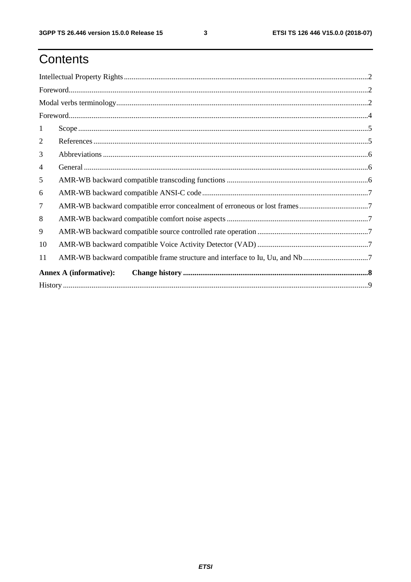## Contents

| 1                             |                                                                             |  |  |  |  |  |  |
|-------------------------------|-----------------------------------------------------------------------------|--|--|--|--|--|--|
| 2                             |                                                                             |  |  |  |  |  |  |
| 3                             |                                                                             |  |  |  |  |  |  |
| $\overline{4}$                |                                                                             |  |  |  |  |  |  |
| 5                             |                                                                             |  |  |  |  |  |  |
| 6                             |                                                                             |  |  |  |  |  |  |
| $\tau$                        |                                                                             |  |  |  |  |  |  |
| 8                             |                                                                             |  |  |  |  |  |  |
| 9                             |                                                                             |  |  |  |  |  |  |
| 10                            |                                                                             |  |  |  |  |  |  |
| 11                            | AMR-WB backward compatible frame structure and interface to Iu, Uu, and Nb7 |  |  |  |  |  |  |
| <b>Annex A (informative):</b> |                                                                             |  |  |  |  |  |  |
|                               |                                                                             |  |  |  |  |  |  |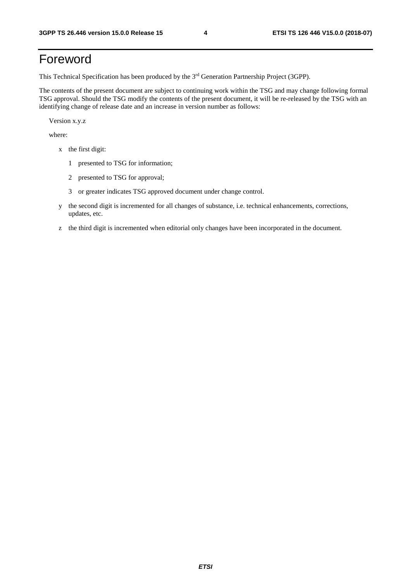#### Foreword

This Technical Specification has been produced by the 3rd Generation Partnership Project (3GPP).

The contents of the present document are subject to continuing work within the TSG and may change following formal TSG approval. Should the TSG modify the contents of the present document, it will be re-released by the TSG with an identifying change of release date and an increase in version number as follows:

Version x.y.z

where:

- x the first digit:
	- 1 presented to TSG for information;
	- 2 presented to TSG for approval;
	- 3 or greater indicates TSG approved document under change control.
- y the second digit is incremented for all changes of substance, i.e. technical enhancements, corrections, updates, etc.
- z the third digit is incremented when editorial only changes have been incorporated in the document.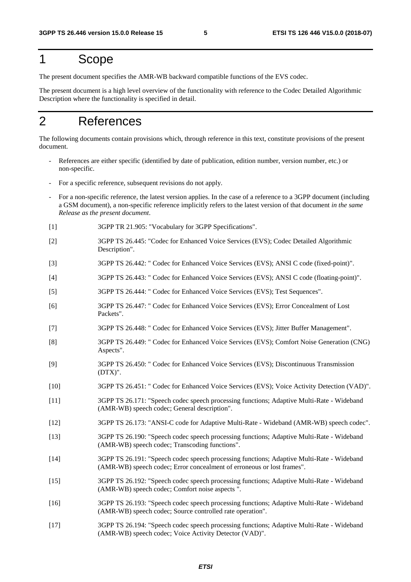#### 1 Scope

The present document specifies the AMR-WB backward compatible functions of the EVS codec.

The present document is a high level overview of the functionality with reference to the Codec Detailed Algorithmic Description where the functionality is specified in detail.

### 2 References

The following documents contain provisions which, through reference in this text, constitute provisions of the present document.

- References are either specific (identified by date of publication, edition number, version number, etc.) or non-specific.
- For a specific reference, subsequent revisions do not apply.
- For a non-specific reference, the latest version applies. In the case of a reference to a 3GPP document (including a GSM document), a non-specific reference implicitly refers to the latest version of that document *in the same Release as the present document*.
- [1] 3GPP TR 21.905: "Vocabulary for 3GPP Specifications".
- [2] 3GPP TS 26.445: "Codec for Enhanced Voice Services (EVS); Codec Detailed Algorithmic Description".
- [3] 3GPP TS 26.442: " Codec for Enhanced Voice Services (EVS); ANSI C code (fixed-point)".
- [4] 3GPP TS 26.443: " Codec for Enhanced Voice Services (EVS); ANSI C code (floating-point)".
- [5] 3GPP TS 26.444: " Codec for Enhanced Voice Services (EVS); Test Sequences".
- [6] 3GPP TS 26.447: " Codec for Enhanced Voice Services (EVS); Error Concealment of Lost Packets".
- [7] 3GPP TS 26.448: " Codec for Enhanced Voice Services (EVS); Jitter Buffer Management".
- [8] 3GPP TS 26.449: " Codec for Enhanced Voice Services (EVS); Comfort Noise Generation (CNG) Aspects".
- [9] 3GPP TS 26.450: " Codec for Enhanced Voice Services (EVS); Discontinuous Transmission  $(DTX)$ ".
- [10] 3GPP TS 26.451: " Codec for Enhanced Voice Services (EVS); Voice Activity Detection (VAD)".
- [11] 3GPP TS 26.171: "Speech codec speech processing functions; Adaptive Multi-Rate Wideband (AMR-WB) speech codec; General description".
- [12] 3GPP TS 26.173: "ANSI-C code for Adaptive Multi-Rate Wideband (AMR-WB) speech codec".
- [13] 3GPP TS 26.190: "Speech codec speech processing functions; Adaptive Multi-Rate Wideband (AMR-WB) speech codec; Transcoding functions".
- [14] 3GPP TS 26.191: "Speech codec speech processing functions; Adaptive Multi-Rate Wideband (AMR-WB) speech codec; Error concealment of erroneous or lost frames".
- [15] 3GPP TS 26.192: "Speech codec speech processing functions; Adaptive Multi-Rate Wideband (AMR-WB) speech codec; Comfort noise aspects ".
- [16] 3GPP TS 26.193: "Speech codec speech processing functions; Adaptive Multi-Rate Wideband (AMR-WB) speech codec; Source controlled rate operation".
- [17] 3GPP TS 26.194: "Speech codec speech processing functions; Adaptive Multi-Rate Wideband (AMR-WB) speech codec; Voice Activity Detector (VAD)".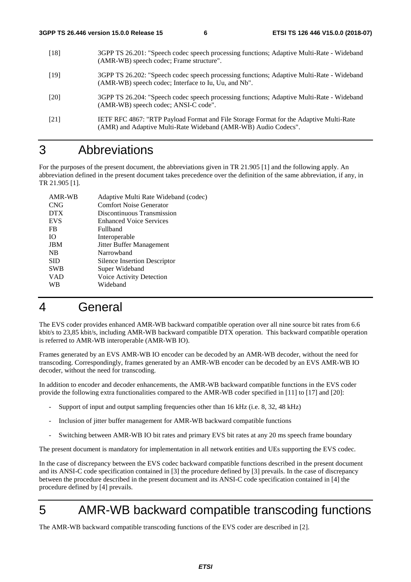- [18] 3GPP TS 26.201: "Speech codec speech processing functions; Adaptive Multi-Rate Wideband (AMR-WB) speech codec; Frame structure".
- [19] 3GPP TS 26.202: "Speech codec speech processing functions; Adaptive Multi-Rate Wideband (AMR-WB) speech codec; Interface to Iu, Uu, and Nb".
- [20] 3GPP TS 26.204: "Speech codec speech processing functions; Adaptive Multi-Rate Wideband (AMR-WB) speech codec; ANSI-C code".
- [21] IETF RFC 4867: "RTP Payload Format and File Storage Format for the Adaptive Multi-Rate (AMR) and Adaptive Multi-Rate Wideband (AMR-WB) Audio Codecs".

#### 3 Abbreviations

For the purposes of the present document, the abbreviations given in TR 21.905 [1] and the following apply. An abbreviation defined in the present document takes precedence over the definition of the same abbreviation, if any, in TR 21.905 [1].

| Adaptive Multi Rate Wideband (codec) |
|--------------------------------------|
| <b>Comfort Noise Generator</b>       |
| Discontinuous Transmission           |
| <b>Enhanced Voice Services</b>       |
| Fullband                             |
| Interoperable                        |
| Jitter Buffer Management             |
| Narrowband                           |
| <b>Silence Insertion Descriptor</b>  |
| Super Wideband                       |
| Voice Activity Detection             |
| Wideband                             |
|                                      |

#### 4 General

The EVS coder provides enhanced AMR-WB backward compatible operation over all nine source bit rates from 6.6 kbit/s to 23,85 kbit/s, including AMR-WB backward compatible DTX operation. This backward compatible operation is referred to AMR-WB interoperable (AMR-WB IO).

Frames generated by an EVS AMR-WB IO encoder can be decoded by an AMR-WB decoder, without the need for transcoding. Correspondingly, frames generated by an AMR-WB encoder can be decoded by an EVS AMR-WB IO decoder, without the need for transcoding.

In addition to encoder and decoder enhancements, the AMR-WB backward compatible functions in the EVS coder provide the following extra functionalities compared to the AMR-WB coder specified in [11] to [17] and [20]:

- Support of input and output sampling frequencies other than 16 kHz (i.e. 8, 32, 48 kHz)
- Inclusion of jitter buffer management for AMR-WB backward compatible functions
- Switching between AMR-WB IO bit rates and primary EVS bit rates at any 20 ms speech frame boundary

The present document is mandatory for implementation in all network entities and UEs supporting the EVS codec.

In the case of discrepancy between the EVS codec backward compatible functions described in the present document and its ANSI-C code specification contained in [3] the procedure defined by [3] prevails. In the case of discrepancy between the procedure described in the present document and its ANSI-C code specification contained in [4] the procedure defined by [4] prevails.

#### 5 AMR-WB backward compatible transcoding functions

The AMR-WB backward compatible transcoding functions of the EVS coder are described in [2].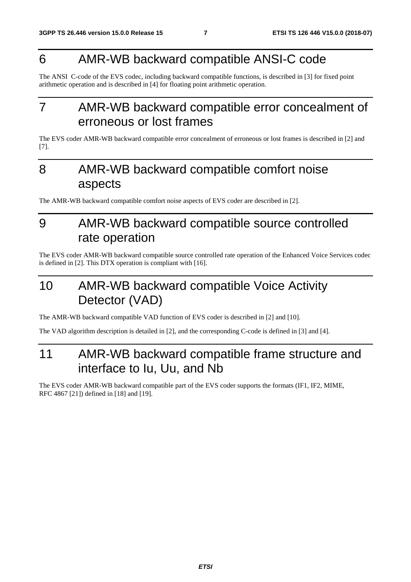#### 6 AMR-WB backward compatible ANSI-C code

The ANSI C-code of the EVS codec, including backward compatible functions, is described in [3] for fixed point arithmetic operation and is described in [4] for floating point arithmetic operation.

### 7 AMR-WB backward compatible error concealment of erroneous or lost frames

The EVS coder AMR-WB backward compatible error concealment of erroneous or lost frames is described in [2] and [7].

### 8 AMR-WB backward compatible comfort noise aspects

The AMR-WB backward compatible comfort noise aspects of EVS coder are described in [2].

#### 9 AMR-WB backward compatible source controlled rate operation

The EVS coder AMR-WB backward compatible source controlled rate operation of the Enhanced Voice Services codec is defined in [2]. This DTX operation is compliant with [16].

### 10 AMR-WB backward compatible Voice Activity Detector (VAD)

The AMR-WB backward compatible VAD function of EVS coder is described in [2] and [10].

The VAD algorithm description is detailed in [2], and the corresponding C-code is defined in [3] and [4].

### 11 AMR-WB backward compatible frame structure and interface to Iu, Uu, and Nb

The EVS coder AMR-WB backward compatible part of the EVS coder supports the formats (IF1, IF2, MIME, RFC 4867 [21]) defined in [18] and [19].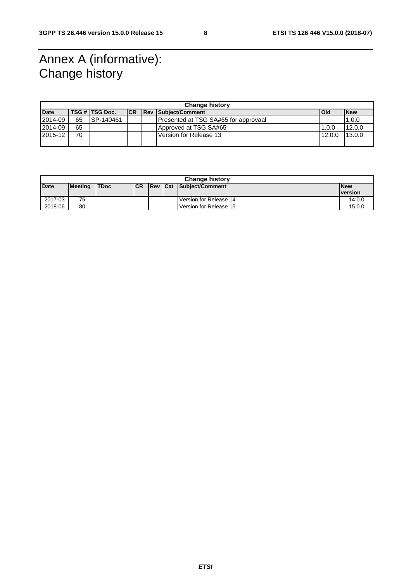### Annex A (informative): Change history

| <b>Change history</b> |    |                |            |  |                                      |        |            |
|-----------------------|----|----------------|------------|--|--------------------------------------|--------|------------|
| <b>Date</b>           |    | TSG # TSG Doc. | <b>ICR</b> |  | <b>Rev Subiect/Comment</b>           | Old    | <b>New</b> |
| 2014-09               | 65 | ISP-140461     |            |  | Presented at TSG SA#65 for approvaal |        | 1.0.0      |
| 2014-09               | 65 |                |            |  | Approved at TSG SA#65                | 1.0.0  | 12.0.0     |
| 2015-12               | 70 |                |            |  | Version for Release 13               | 12.0.0 | 13.0.0     |
|                       |    |                |            |  |                                      |        |            |

| <b>Change history</b> |         |             |            |  |  |                         |                |  |
|-----------------------|---------|-------------|------------|--|--|-------------------------|----------------|--|
| <b>Date</b>           | Meeting | <b>TDoc</b> | <b>ICR</b> |  |  | Rev Cat Subject/Comment | <b>New</b>     |  |
|                       |         |             |            |  |  |                         | <b>version</b> |  |
| 2017-03               | 75      |             |            |  |  | Version for Release 14  | 14.0.0         |  |
| 2018-06               | 80      |             |            |  |  | Version for Release 15  | 15.0.0         |  |